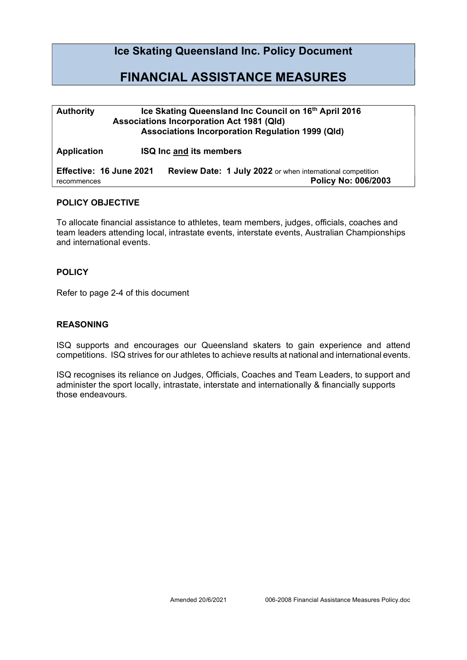## Ice Skating Queensland Inc. Policy Document

# FINANCIAL ASSISTANCE MEASURES

| <b>Authority</b>                       | Ice Skating Queensland Inc Council on 16th April 2016<br><b>Associations Incorporation Act 1981 (Qld)</b><br><b>Associations Incorporation Regulation 1999 (Qld)</b> |  |  |
|----------------------------------------|----------------------------------------------------------------------------------------------------------------------------------------------------------------------|--|--|
| <b>Application</b>                     | <b>ISQ Inc and its members</b>                                                                                                                                       |  |  |
| Effective: 16 June 2021<br>recommences | <b>Review Date: 1 July 2022</b> or when international competition<br>Policy No: 006/2003                                                                             |  |  |

### POLICY OBJECTIVE

To allocate financial assistance to athletes, team members, judges, officials, coaches and team leaders attending local, intrastate events, interstate events, Australian Championships and international events.

#### **POLICY**

Refer to page 2-4 of this document

#### REASONING

ISQ supports and encourages our Queensland skaters to gain experience and attend competitions. ISQ strives for our athletes to achieve results at national and international events.

ISQ recognises its reliance on Judges, Officials, Coaches and Team Leaders, to support and administer the sport locally, intrastate, interstate and internationally & financially supports those endeavours.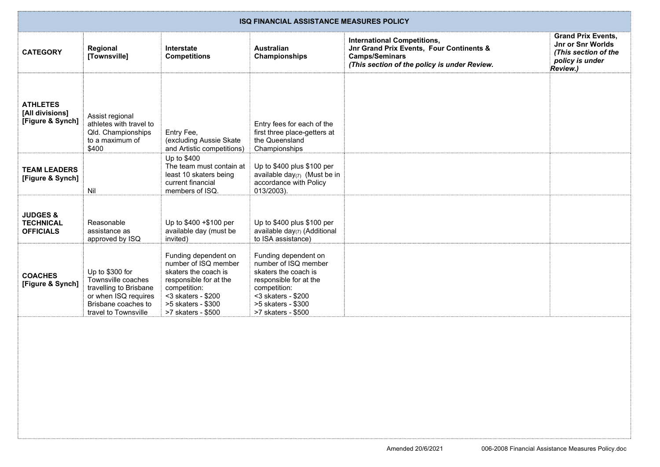| <b>ISQ FINANCIAL ASSISTANCE MEASURES POLICY</b>             |                                                                                                                                        |                                                                                                                                                                                     |                                                                                                                                                                                     |                                                                                                                                                         |                                                                                                       |
|-------------------------------------------------------------|----------------------------------------------------------------------------------------------------------------------------------------|-------------------------------------------------------------------------------------------------------------------------------------------------------------------------------------|-------------------------------------------------------------------------------------------------------------------------------------------------------------------------------------|---------------------------------------------------------------------------------------------------------------------------------------------------------|-------------------------------------------------------------------------------------------------------|
| <b>CATEGORY</b>                                             | Regional<br>[Townsville]                                                                                                               | Interstate<br><b>Competitions</b>                                                                                                                                                   | <b>Australian</b><br>Championships                                                                                                                                                  | <b>International Competitions,</b><br>Jnr Grand Prix Events, Four Continents &<br><b>Camps/Seminars</b><br>(This section of the policy is under Review. | <b>Grand Prix Events,</b><br>Jnr or Snr Worlds<br>(This section of the<br>policy is under<br>Review.) |
| <b>ATHLETES</b><br>[All divisions]<br>[Figure & Synch]      | Assist regional<br>athletes with travel to<br>Qld. Championships<br>to a maximum of<br>\$400                                           | Entry Fee,<br>(excluding Aussie Skate<br>and Artistic competitions)                                                                                                                 | Entry fees for each of the<br>first three place-getters at<br>the Queensland<br>Championships                                                                                       |                                                                                                                                                         |                                                                                                       |
| <b>TEAM LEADERS</b><br>[Figure & Synch]                     | Nil                                                                                                                                    | Up to \$400<br>The team must contain at<br>least 10 skaters being<br>current financial<br>members of ISQ.                                                                           | Up to \$400 plus \$100 per<br>available day $(7)$ (Must be in<br>accordance with Policy<br>013/2003).                                                                               |                                                                                                                                                         |                                                                                                       |
| <b>JUDGES &amp;</b><br><b>TECHNICAL</b><br><b>OFFICIALS</b> | Reasonable<br>assistance as<br>approved by ISQ                                                                                         | Up to \$400 +\$100 per<br>available day (must be<br>invited)                                                                                                                        | Up to \$400 plus \$100 per<br>available day(7) (Additional<br>to ISA assistance)                                                                                                    |                                                                                                                                                         |                                                                                                       |
| <b>COACHES</b><br>[Figure & Synch]                          | Up to \$300 for<br>Townsville coaches<br>travelling to Brisbane<br>or when ISQ requires<br>Brisbane coaches to<br>travel to Townsville | Funding dependent on<br>number of ISQ member<br>skaters the coach is<br>responsible for at the<br>competition:<br>$<$ 3 skaters - \$200<br>>5 skaters - \$300<br>>7 skaters - \$500 | Funding dependent on<br>number of ISQ member<br>skaters the coach is<br>responsible for at the<br>competition:<br>$<$ 3 skaters - \$200<br>>5 skaters - \$300<br>>7 skaters - \$500 |                                                                                                                                                         |                                                                                                       |
|                                                             |                                                                                                                                        |                                                                                                                                                                                     |                                                                                                                                                                                     |                                                                                                                                                         |                                                                                                       |